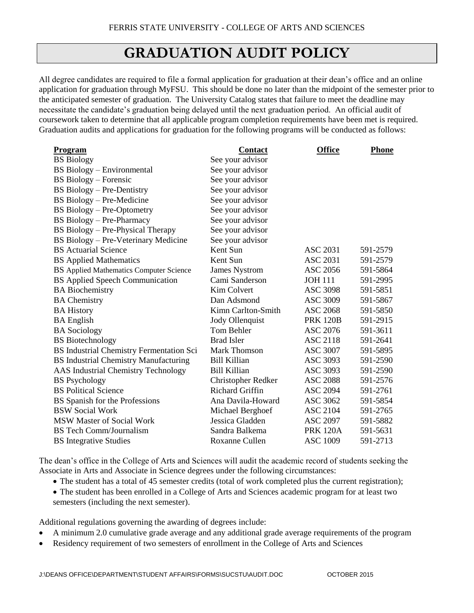## **GRADUATION AUDIT POLICY**

All degree candidates are required to file a formal application for graduation at their dean's office and an online application for graduation through MyFSU. This should be done no later than the midpoint of the semester prior to the anticipated semester of graduation. The University Catalog states that failure to meet the deadline may necessitate the candidate's graduation being delayed until the next graduation period. An official audit of coursework taken to determine that all applicable program completion requirements have been met is required. Graduation audits and applications for graduation for the following programs will be conducted as follows:

| Program                                      | <b>Contact</b>            | <b>Office</b>   | <b>Phone</b> |
|----------------------------------------------|---------------------------|-----------------|--------------|
| <b>BS</b> Biology                            | See your advisor          |                 |              |
| BS Biology – Environmental                   | See your advisor          |                 |              |
| <b>BS</b> Biology – Forensic                 | See your advisor          |                 |              |
| BS Biology – Pre-Dentistry                   | See your advisor          |                 |              |
| BS Biology – Pre-Medicine                    | See your advisor          |                 |              |
| <b>BS Biology - Pre-Optometry</b>            | See your advisor          |                 |              |
| BS Biology - Pre-Pharmacy                    | See your advisor          |                 |              |
| BS Biology - Pre-Physical Therapy            | See your advisor          |                 |              |
| BS Biology - Pre-Veterinary Medicine         | See your advisor          |                 |              |
| <b>BS</b> Actuarial Science                  | Kent Sun                  | <b>ASC 2031</b> | 591-2579     |
| <b>BS</b> Applied Mathematics                | Kent Sun                  | <b>ASC 2031</b> | 591-2579     |
| BS Applied Mathematics Computer Science      | <b>James Nystrom</b>      | <b>ASC 2056</b> | 591-5864     |
| <b>BS</b> Applied Speech Communication       | Cami Sanderson            | <b>JOH 111</b>  | 591-2995     |
| <b>BA</b> Biochemistry                       | Kim Colvert               | <b>ASC 3098</b> | 591-5851     |
| <b>BA</b> Chemistry                          | Dan Adsmond               | <b>ASC 3009</b> | 591-5867     |
| <b>BA History</b>                            | Kimn Carlton-Smith        | <b>ASC 2068</b> | 591-5850     |
| <b>BA</b> English                            | Jody Ollenquist           | <b>PRK 120B</b> | 591-2915     |
| <b>BA</b> Sociology                          | Tom Behler                | <b>ASC 2076</b> | 591-3611     |
| <b>BS</b> Biotechnology                      | <b>Brad Isler</b>         | <b>ASC 2118</b> | 591-2641     |
| BS Industrial Chemistry Fermentation Sci     | <b>Mark Thomson</b>       | <b>ASC 3007</b> | 591-5895     |
| <b>BS Industrial Chemistry Manufacturing</b> | <b>Bill Killian</b>       | ASC 3093        | 591-2590     |
| <b>AAS</b> Industrial Chemistry Technology   | <b>Bill Killian</b>       | ASC 3093        | 591-2590     |
| <b>BS</b> Psychology                         | <b>Christopher Redker</b> | <b>ASC 2088</b> | 591-2576     |
| <b>BS</b> Political Science                  | <b>Richard Griffin</b>    | <b>ASC 2094</b> | 591-2761     |
| BS Spanish for the Professions               | Ana Davila-Howard         | <b>ASC 3062</b> | 591-5854     |
| <b>BSW Social Work</b>                       | Michael Berghoef          | <b>ASC 2104</b> | 591-2765     |
| <b>MSW Master of Social Work</b>             | Jessica Gladden           | <b>ASC 2097</b> | 591-5882     |
| <b>BS</b> Tech Comm/Journalism               | Sandra Balkema            | <b>PRK 120A</b> | 591-5631     |
| <b>BS</b> Integrative Studies                | Roxanne Cullen            | <b>ASC 1009</b> | 591-2713     |

The dean's office in the College of Arts and Sciences will audit the academic record of students seeking the Associate in Arts and Associate in Science degrees under the following circumstances:

- The student has a total of 45 semester credits (total of work completed plus the current registration);
- The student has been enrolled in a College of Arts and Sciences academic program for at least two semesters (including the next semester).

Additional regulations governing the awarding of degrees include:

- A minimum 2.0 cumulative grade average and any additional grade average requirements of the program
- Residency requirement of two semesters of enrollment in the College of Arts and Sciences